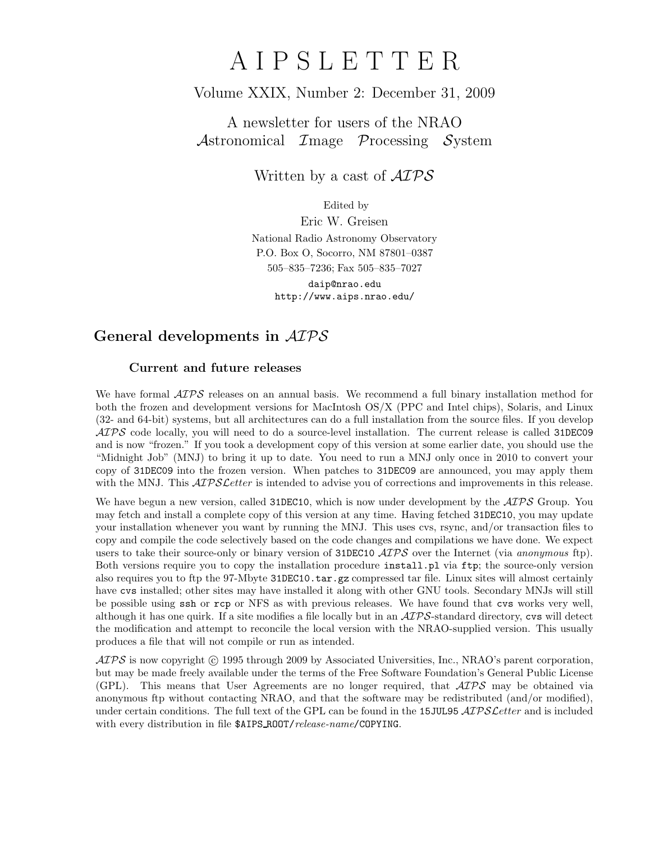# A I P S L E T T E R

### Volume XXIX, Number 2: December 31, 2009

A newsletter for users of the NRAO Astronomical  $\mathcal{I}$ mage  $\mathcal{P}$ rocessing  $\mathcal{S}$ ystem

Written by a cast of  $\mathcal{AIPS}$ 

Edited by

Eric W. Greisen National Radio Astronomy Observatory P.O. Box O, Socorro, NM 87801–0387 505–835–7236; Fax 505–835–7027

daip@nrao.edu http://www.aips.nrao.edu/

## General developments in AIPS

### Current and future releases

We have formal  $\mathcal{AIPS}$  releases on an annual basis. We recommend a full binary installation method for both the frozen and development versions for MacIntosh OS/X (PPC and Intel chips), Solaris, and Linux (32- and 64-bit) systems, but all architectures can do a full installation from the source files. If you develop  $ATPS$  code locally, you will need to do a source-level installation. The current release is called 31DEC09 and is now "frozen." If you took a development copy of this version at some earlier date, you should use the "Midnight Job" (MNJ) to bring it up to date. You need to run a MNJ only once in 2010 to convert your copy of 31DEC09 into the frozen version. When patches to 31DEC09 are announced, you may apply them with the MNJ. This  $\mathcal{ATPS}$  Letter is intended to advise you of corrections and improvements in this release.

We have begun a new version, called 31DEC10, which is now under development by the  $\mathcal{ATPS}$  Group. You may fetch and install a complete copy of this version at any time. Having fetched 31DEC10, you may update your installation whenever you want by running the MNJ. This uses cvs, rsync, and/or transaction files to copy and compile the code selectively based on the code changes and compilations we have done. We expect users to take their source-only or binary version of 31DEC10  $\widehat{ATPS}$  over the Internet (via anonymous ftp). Both versions require you to copy the installation procedure install.pl via ftp; the source-only version also requires you to ftp the 97-Mbyte 31DEC10.tar.gz compressed tar file. Linux sites will almost certainly have cvs installed; other sites may have installed it along with other GNU tools. Secondary MNJs will still be possible using ssh or rcp or NFS as with previous releases. We have found that cvs works very well, although it has one quirk. If a site modifies a file locally but in an  $\mathcal{AIPS}$ -standard directory, cvs will detect the modification and attempt to reconcile the local version with the NRAO-supplied version. This usually produces a file that will not compile or run as intended.

 $\mathcal{AIPS}$  is now copyright (c) 1995 through 2009 by Associated Universities, Inc., NRAO's parent corporation, but may be made freely available under the terms of the Free Software Foundation's General Public License (GPL). This means that User Agreements are no longer required, that  $\mathcal{AIPS}$  may be obtained via anonymous ftp without contacting NRAO, and that the software may be redistributed (and/or modified), under certain conditions. The full text of the GPL can be found in the 15JUL95  $\mathcal{AIPS}$  cetter and is included with every distribution in file \$AIPS\_ROOT/release-name/COPYING.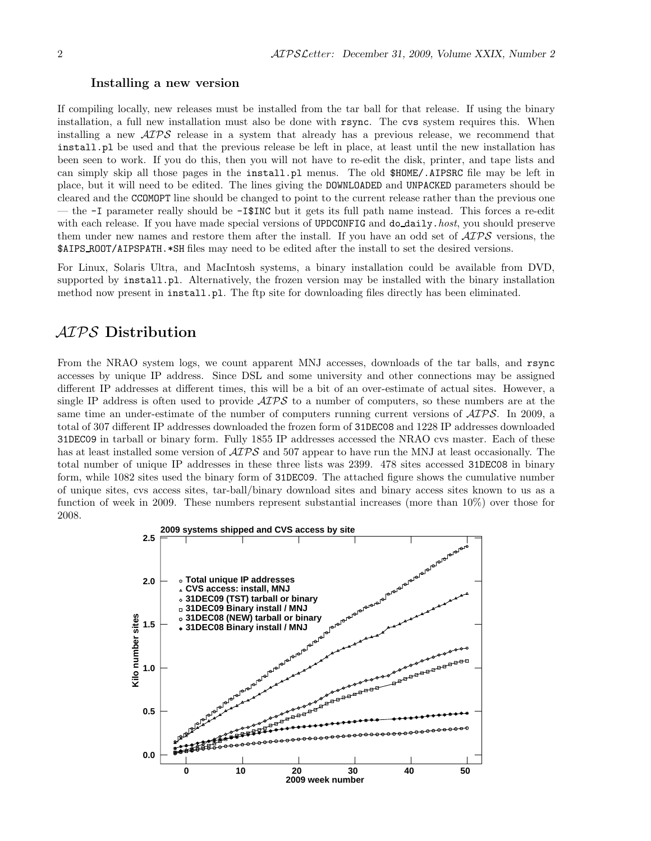#### Installing a new version

If compiling locally, new releases must be installed from the tar ball for that release. If using the binary installation, a full new installation must also be done with rsync. The cvs system requires this. When installing a new  $\langle \angle ATPS \rangle$  release in a system that already has a previous release, we recommend that install.pl be used and that the previous release be left in place, at least until the new installation has been seen to work. If you do this, then you will not have to re-edit the disk, printer, and tape lists and can simply skip all those pages in the install.pl menus. The old \$HOME/.AIPSRC file may be left in place, but it will need to be edited. The lines giving the DOWNLOADED and UNPACKED parameters should be cleared and the CCOMOPT line should be changed to point to the current release rather than the previous one — the -I parameter really should be -I\$INC but it gets its full path name instead. This forces a re-edit with each release. If you have made special versions of UPDCONFIG and do\_daily.host, you should preserve them under new names and restore them after the install. If you have an odd set of  $\mathcal{AIPS}$  versions, the \$AIPS ROOT/AIPSPATH.\*SH files may need to be edited after the install to set the desired versions.

For Linux, Solaris Ultra, and MacIntosh systems, a binary installation could be available from DVD, supported by install.pl. Alternatively, the frozen version may be installed with the binary installation method now present in install.pl. The ftp site for downloading files directly has been eliminated.

### AIPS Distribution

From the NRAO system logs, we count apparent MNJ accesses, downloads of the tar balls, and rsync accesses by unique IP address. Since DSL and some university and other connections may be assigned different IP addresses at different times, this will be a bit of an over-estimate of actual sites. However, a single IP address is often used to provide  $\mathcal{AIPS}$  to a number of computers, so these numbers are at the same time an under-estimate of the number of computers running current versions of  $\mathcal{AIPS}$ . In 2009, a total of 307 different IP addresses downloaded the frozen form of 31DEC08 and 1228 IP addresses downloaded 31DEC09 in tarball or binary form. Fully 1855 IP addresses accessed the NRAO cvs master. Each of these has at least installed some version of  $\mathcal{AIPS}$  and 507 appear to have run the MNJ at least occasionally. The total number of unique IP addresses in these three lists was 2399. 478 sites accessed 31DEC08 in binary form, while 1082 sites used the binary form of 31DEC09. The attached figure shows the cumulative number of unique sites, cvs access sites, tar-ball/binary download sites and binary access sites known to us as a function of week in 2009. These numbers represent substantial increases (more than 10%) over those for 2008.

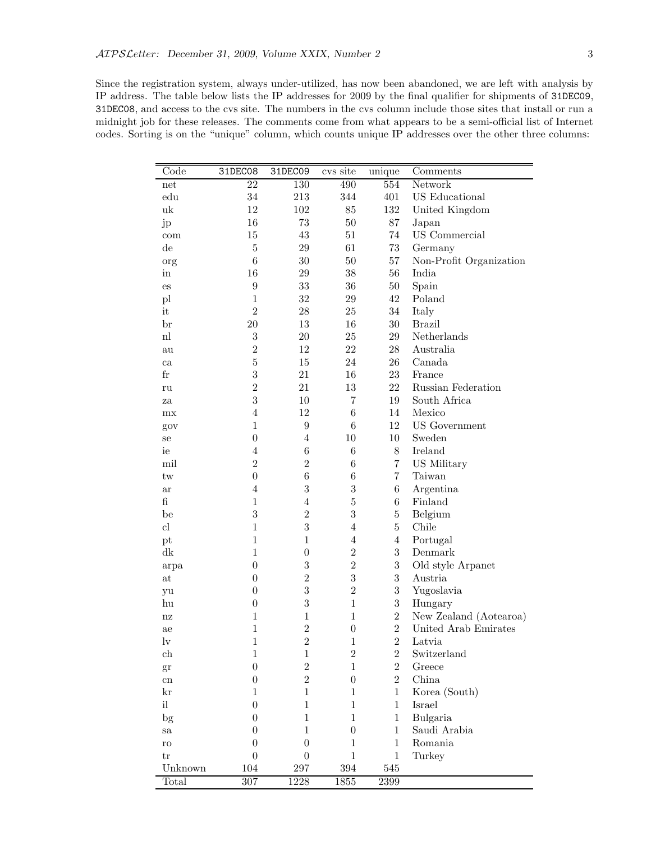Since the registration system, always under-utilized, has now been abandoned, we are left with analysis by IP address. The table below lists the IP addresses for 2009 by the final qualifier for shipments of 31DEC09, 31DEC08, and access to the cvs site. The numbers in the cvs column include those sites that install or run a midnight job for these releases. The comments come from what appears to be a semi-official list of Internet codes. Sorting is on the "unique" column, which counts unique IP addresses over the other three columns:

| 22<br>130<br>490<br>554<br>Network<br>net<br>34<br>401<br>US Educational<br>$_{\rm edu}$<br>213<br>344<br>uk<br>12<br>85<br>132<br>102<br>United Kingdom<br>16<br>73<br>$50\,$<br>87<br>Japan<br>jp<br>15<br>43<br>$51\,$<br>74<br>US Commercial<br>com<br>$\bf 5$<br>29<br>61<br>$73\,$<br>$_{\rm de}$<br>Germany<br>$\,6$<br>$30\,$<br>$50\,$<br>57<br>Non-Profit Organization<br>org<br>16<br>56<br>29<br>$38\,$<br>India<br>in<br>$\boldsymbol{9}$<br>$33\,$<br>$36\,$<br>50<br>Spain<br>$\mathop{\mathrm{es}}$<br>$32\,$<br>42<br>$\mathbf{1}$<br>$\,29$<br>Poland<br>pl<br>$\overline{2}$<br>it<br>28<br>34<br>$25\,$<br>Italy<br>$20\,$<br>13<br>16<br>30<br><b>Brazil</b><br>br<br>$\sqrt{3}$<br>$\mathbf{nl}$<br>$20\,$<br>25<br>29<br>Netherlands<br>$\overline{2}$<br>12<br>22<br>28<br>Australia<br>au<br>$\bf 5$<br>15<br>24<br>26<br>Canada<br>ca<br>$\sqrt{3}$<br>21<br>$_{\rm fr}$<br>16<br>$23\,$<br>France<br>$\overline{2}$<br>21<br>13<br>22<br>Russian Federation<br>ru<br>3<br>10<br>$\overline{7}$<br>19<br>South Africa<br>za<br>$\overline{4}$<br>12<br>$\,6$<br>14<br>Mexico<br>mx<br>$\mathbf{1}$<br>$\boldsymbol{9}$<br>$\,6$<br>12<br><b>US</b> Government<br>gov<br>$\boldsymbol{0}$<br>$\overline{4}$<br>10<br>10<br>Sweden<br>se<br>$\,6$<br>$\overline{4}$<br>$\,6$<br>$8\,$<br>Ireland<br>ie<br>$\overline{2}$<br>$\overline{2}$<br>$\,6$<br>$\overline{7}$<br>US Military<br>mil<br>$\overline{0}$<br>$\,6$<br>$\,6$<br>$\overline{7}$<br>Taiwan<br>tw<br>3<br>$\sqrt{3}$<br>$\overline{4}$<br>$6\phantom{.}$<br>Argentina<br>ar<br>fi<br>$\bf 5$<br>$\mathbf{1}$<br>$\overline{4}$<br>$6\phantom{.}$<br>Finland<br>3<br>$\overline{2}$<br>3<br>$\overline{5}$<br>Belgium<br>be<br>3<br>$\overline{5}$<br>$\mathbf{1}$<br>cl<br>$\overline{4}$<br>Chile<br>$\mathbf{1}$<br>$\mathbf{1}$<br>$\overline{4}$<br>$\overline{4}$<br>Portugal<br>pt<br>3<br>$\overline{2}$<br>dk<br>$\mathbf 1$<br>$\boldsymbol{0}$<br>Denmark<br>3<br>$\overline{2}$<br>3<br>$\boldsymbol{0}$<br>Old style Arpanet<br>arpa<br>$\sqrt{3}$<br>$\overline{2}$<br>3<br>$\boldsymbol{0}$<br>Austria<br>at<br>3<br>$\overline{2}$<br>$\boldsymbol{3}$<br>$\boldsymbol{0}$<br>Yugoslavia<br>yu<br>3<br>$\boldsymbol{3}$<br>$\mathbf{1}$<br>$\boldsymbol{0}$<br>Hungary<br>hu<br>$\overline{2}$<br>$\mathbf{1}$<br>$\mathbf 1$<br>$\mathbf{1}$<br>New Zealand (Aotearoa)<br>nz<br>$\overline{2}$<br>$\overline{2}$<br>$\mathbf{1}$<br>United Arab Emirates<br>$\boldsymbol{0}$<br>ae<br>$\mathbf{1}$<br>$\sqrt{2}$<br>$\overline{2}$<br>$_{\rm{lv}}$<br>$\mathbf{1}$<br>Latvia<br>$\overline{2}$<br>$\overline{2}$<br>ch<br>$\mathbf{1}$<br>$\mathbf{1}$<br>Switzerland<br>$\overline{2}$<br>$\overline{2}$<br>$\overline{0}$<br>$\mathbf{1}$<br>Greece<br>gr<br>$\overline{2}$<br>$\overline{2}$<br>$\boldsymbol{0}$<br>$\boldsymbol{0}$<br>China<br>${\rm cn}$ | Code | 31DEC08 | 31DEC09 | cvs site | unique | Comments |
|------------------------------------------------------------------------------------------------------------------------------------------------------------------------------------------------------------------------------------------------------------------------------------------------------------------------------------------------------------------------------------------------------------------------------------------------------------------------------------------------------------------------------------------------------------------------------------------------------------------------------------------------------------------------------------------------------------------------------------------------------------------------------------------------------------------------------------------------------------------------------------------------------------------------------------------------------------------------------------------------------------------------------------------------------------------------------------------------------------------------------------------------------------------------------------------------------------------------------------------------------------------------------------------------------------------------------------------------------------------------------------------------------------------------------------------------------------------------------------------------------------------------------------------------------------------------------------------------------------------------------------------------------------------------------------------------------------------------------------------------------------------------------------------------------------------------------------------------------------------------------------------------------------------------------------------------------------------------------------------------------------------------------------------------------------------------------------------------------------------------------------------------------------------------------------------------------------------------------------------------------------------------------------------------------------------------------------------------------------------------------------------------------------------------------------------------------------------------------------------------------------------------------------------------------------------------------------------------------------------------------------------------------------------------------------------------------------------------------------------------------------------------------------------------------------------------------------------------------------------------|------|---------|---------|----------|--------|----------|
|                                                                                                                                                                                                                                                                                                                                                                                                                                                                                                                                                                                                                                                                                                                                                                                                                                                                                                                                                                                                                                                                                                                                                                                                                                                                                                                                                                                                                                                                                                                                                                                                                                                                                                                                                                                                                                                                                                                                                                                                                                                                                                                                                                                                                                                                                                                                                                                                                                                                                                                                                                                                                                                                                                                                                                                                                                                                        |      |         |         |          |        |          |
|                                                                                                                                                                                                                                                                                                                                                                                                                                                                                                                                                                                                                                                                                                                                                                                                                                                                                                                                                                                                                                                                                                                                                                                                                                                                                                                                                                                                                                                                                                                                                                                                                                                                                                                                                                                                                                                                                                                                                                                                                                                                                                                                                                                                                                                                                                                                                                                                                                                                                                                                                                                                                                                                                                                                                                                                                                                                        |      |         |         |          |        |          |
|                                                                                                                                                                                                                                                                                                                                                                                                                                                                                                                                                                                                                                                                                                                                                                                                                                                                                                                                                                                                                                                                                                                                                                                                                                                                                                                                                                                                                                                                                                                                                                                                                                                                                                                                                                                                                                                                                                                                                                                                                                                                                                                                                                                                                                                                                                                                                                                                                                                                                                                                                                                                                                                                                                                                                                                                                                                                        |      |         |         |          |        |          |
|                                                                                                                                                                                                                                                                                                                                                                                                                                                                                                                                                                                                                                                                                                                                                                                                                                                                                                                                                                                                                                                                                                                                                                                                                                                                                                                                                                                                                                                                                                                                                                                                                                                                                                                                                                                                                                                                                                                                                                                                                                                                                                                                                                                                                                                                                                                                                                                                                                                                                                                                                                                                                                                                                                                                                                                                                                                                        |      |         |         |          |        |          |
|                                                                                                                                                                                                                                                                                                                                                                                                                                                                                                                                                                                                                                                                                                                                                                                                                                                                                                                                                                                                                                                                                                                                                                                                                                                                                                                                                                                                                                                                                                                                                                                                                                                                                                                                                                                                                                                                                                                                                                                                                                                                                                                                                                                                                                                                                                                                                                                                                                                                                                                                                                                                                                                                                                                                                                                                                                                                        |      |         |         |          |        |          |
|                                                                                                                                                                                                                                                                                                                                                                                                                                                                                                                                                                                                                                                                                                                                                                                                                                                                                                                                                                                                                                                                                                                                                                                                                                                                                                                                                                                                                                                                                                                                                                                                                                                                                                                                                                                                                                                                                                                                                                                                                                                                                                                                                                                                                                                                                                                                                                                                                                                                                                                                                                                                                                                                                                                                                                                                                                                                        |      |         |         |          |        |          |
|                                                                                                                                                                                                                                                                                                                                                                                                                                                                                                                                                                                                                                                                                                                                                                                                                                                                                                                                                                                                                                                                                                                                                                                                                                                                                                                                                                                                                                                                                                                                                                                                                                                                                                                                                                                                                                                                                                                                                                                                                                                                                                                                                                                                                                                                                                                                                                                                                                                                                                                                                                                                                                                                                                                                                                                                                                                                        |      |         |         |          |        |          |
|                                                                                                                                                                                                                                                                                                                                                                                                                                                                                                                                                                                                                                                                                                                                                                                                                                                                                                                                                                                                                                                                                                                                                                                                                                                                                                                                                                                                                                                                                                                                                                                                                                                                                                                                                                                                                                                                                                                                                                                                                                                                                                                                                                                                                                                                                                                                                                                                                                                                                                                                                                                                                                                                                                                                                                                                                                                                        |      |         |         |          |        |          |
|                                                                                                                                                                                                                                                                                                                                                                                                                                                                                                                                                                                                                                                                                                                                                                                                                                                                                                                                                                                                                                                                                                                                                                                                                                                                                                                                                                                                                                                                                                                                                                                                                                                                                                                                                                                                                                                                                                                                                                                                                                                                                                                                                                                                                                                                                                                                                                                                                                                                                                                                                                                                                                                                                                                                                                                                                                                                        |      |         |         |          |        |          |
|                                                                                                                                                                                                                                                                                                                                                                                                                                                                                                                                                                                                                                                                                                                                                                                                                                                                                                                                                                                                                                                                                                                                                                                                                                                                                                                                                                                                                                                                                                                                                                                                                                                                                                                                                                                                                                                                                                                                                                                                                                                                                                                                                                                                                                                                                                                                                                                                                                                                                                                                                                                                                                                                                                                                                                                                                                                                        |      |         |         |          |        |          |
|                                                                                                                                                                                                                                                                                                                                                                                                                                                                                                                                                                                                                                                                                                                                                                                                                                                                                                                                                                                                                                                                                                                                                                                                                                                                                                                                                                                                                                                                                                                                                                                                                                                                                                                                                                                                                                                                                                                                                                                                                                                                                                                                                                                                                                                                                                                                                                                                                                                                                                                                                                                                                                                                                                                                                                                                                                                                        |      |         |         |          |        |          |
|                                                                                                                                                                                                                                                                                                                                                                                                                                                                                                                                                                                                                                                                                                                                                                                                                                                                                                                                                                                                                                                                                                                                                                                                                                                                                                                                                                                                                                                                                                                                                                                                                                                                                                                                                                                                                                                                                                                                                                                                                                                                                                                                                                                                                                                                                                                                                                                                                                                                                                                                                                                                                                                                                                                                                                                                                                                                        |      |         |         |          |        |          |
|                                                                                                                                                                                                                                                                                                                                                                                                                                                                                                                                                                                                                                                                                                                                                                                                                                                                                                                                                                                                                                                                                                                                                                                                                                                                                                                                                                                                                                                                                                                                                                                                                                                                                                                                                                                                                                                                                                                                                                                                                                                                                                                                                                                                                                                                                                                                                                                                                                                                                                                                                                                                                                                                                                                                                                                                                                                                        |      |         |         |          |        |          |
|                                                                                                                                                                                                                                                                                                                                                                                                                                                                                                                                                                                                                                                                                                                                                                                                                                                                                                                                                                                                                                                                                                                                                                                                                                                                                                                                                                                                                                                                                                                                                                                                                                                                                                                                                                                                                                                                                                                                                                                                                                                                                                                                                                                                                                                                                                                                                                                                                                                                                                                                                                                                                                                                                                                                                                                                                                                                        |      |         |         |          |        |          |
|                                                                                                                                                                                                                                                                                                                                                                                                                                                                                                                                                                                                                                                                                                                                                                                                                                                                                                                                                                                                                                                                                                                                                                                                                                                                                                                                                                                                                                                                                                                                                                                                                                                                                                                                                                                                                                                                                                                                                                                                                                                                                                                                                                                                                                                                                                                                                                                                                                                                                                                                                                                                                                                                                                                                                                                                                                                                        |      |         |         |          |        |          |
|                                                                                                                                                                                                                                                                                                                                                                                                                                                                                                                                                                                                                                                                                                                                                                                                                                                                                                                                                                                                                                                                                                                                                                                                                                                                                                                                                                                                                                                                                                                                                                                                                                                                                                                                                                                                                                                                                                                                                                                                                                                                                                                                                                                                                                                                                                                                                                                                                                                                                                                                                                                                                                                                                                                                                                                                                                                                        |      |         |         |          |        |          |
|                                                                                                                                                                                                                                                                                                                                                                                                                                                                                                                                                                                                                                                                                                                                                                                                                                                                                                                                                                                                                                                                                                                                                                                                                                                                                                                                                                                                                                                                                                                                                                                                                                                                                                                                                                                                                                                                                                                                                                                                                                                                                                                                                                                                                                                                                                                                                                                                                                                                                                                                                                                                                                                                                                                                                                                                                                                                        |      |         |         |          |        |          |
|                                                                                                                                                                                                                                                                                                                                                                                                                                                                                                                                                                                                                                                                                                                                                                                                                                                                                                                                                                                                                                                                                                                                                                                                                                                                                                                                                                                                                                                                                                                                                                                                                                                                                                                                                                                                                                                                                                                                                                                                                                                                                                                                                                                                                                                                                                                                                                                                                                                                                                                                                                                                                                                                                                                                                                                                                                                                        |      |         |         |          |        |          |
|                                                                                                                                                                                                                                                                                                                                                                                                                                                                                                                                                                                                                                                                                                                                                                                                                                                                                                                                                                                                                                                                                                                                                                                                                                                                                                                                                                                                                                                                                                                                                                                                                                                                                                                                                                                                                                                                                                                                                                                                                                                                                                                                                                                                                                                                                                                                                                                                                                                                                                                                                                                                                                                                                                                                                                                                                                                                        |      |         |         |          |        |          |
|                                                                                                                                                                                                                                                                                                                                                                                                                                                                                                                                                                                                                                                                                                                                                                                                                                                                                                                                                                                                                                                                                                                                                                                                                                                                                                                                                                                                                                                                                                                                                                                                                                                                                                                                                                                                                                                                                                                                                                                                                                                                                                                                                                                                                                                                                                                                                                                                                                                                                                                                                                                                                                                                                                                                                                                                                                                                        |      |         |         |          |        |          |
|                                                                                                                                                                                                                                                                                                                                                                                                                                                                                                                                                                                                                                                                                                                                                                                                                                                                                                                                                                                                                                                                                                                                                                                                                                                                                                                                                                                                                                                                                                                                                                                                                                                                                                                                                                                                                                                                                                                                                                                                                                                                                                                                                                                                                                                                                                                                                                                                                                                                                                                                                                                                                                                                                                                                                                                                                                                                        |      |         |         |          |        |          |
|                                                                                                                                                                                                                                                                                                                                                                                                                                                                                                                                                                                                                                                                                                                                                                                                                                                                                                                                                                                                                                                                                                                                                                                                                                                                                                                                                                                                                                                                                                                                                                                                                                                                                                                                                                                                                                                                                                                                                                                                                                                                                                                                                                                                                                                                                                                                                                                                                                                                                                                                                                                                                                                                                                                                                                                                                                                                        |      |         |         |          |        |          |
|                                                                                                                                                                                                                                                                                                                                                                                                                                                                                                                                                                                                                                                                                                                                                                                                                                                                                                                                                                                                                                                                                                                                                                                                                                                                                                                                                                                                                                                                                                                                                                                                                                                                                                                                                                                                                                                                                                                                                                                                                                                                                                                                                                                                                                                                                                                                                                                                                                                                                                                                                                                                                                                                                                                                                                                                                                                                        |      |         |         |          |        |          |
|                                                                                                                                                                                                                                                                                                                                                                                                                                                                                                                                                                                                                                                                                                                                                                                                                                                                                                                                                                                                                                                                                                                                                                                                                                                                                                                                                                                                                                                                                                                                                                                                                                                                                                                                                                                                                                                                                                                                                                                                                                                                                                                                                                                                                                                                                                                                                                                                                                                                                                                                                                                                                                                                                                                                                                                                                                                                        |      |         |         |          |        |          |
|                                                                                                                                                                                                                                                                                                                                                                                                                                                                                                                                                                                                                                                                                                                                                                                                                                                                                                                                                                                                                                                                                                                                                                                                                                                                                                                                                                                                                                                                                                                                                                                                                                                                                                                                                                                                                                                                                                                                                                                                                                                                                                                                                                                                                                                                                                                                                                                                                                                                                                                                                                                                                                                                                                                                                                                                                                                                        |      |         |         |          |        |          |
|                                                                                                                                                                                                                                                                                                                                                                                                                                                                                                                                                                                                                                                                                                                                                                                                                                                                                                                                                                                                                                                                                                                                                                                                                                                                                                                                                                                                                                                                                                                                                                                                                                                                                                                                                                                                                                                                                                                                                                                                                                                                                                                                                                                                                                                                                                                                                                                                                                                                                                                                                                                                                                                                                                                                                                                                                                                                        |      |         |         |          |        |          |
|                                                                                                                                                                                                                                                                                                                                                                                                                                                                                                                                                                                                                                                                                                                                                                                                                                                                                                                                                                                                                                                                                                                                                                                                                                                                                                                                                                                                                                                                                                                                                                                                                                                                                                                                                                                                                                                                                                                                                                                                                                                                                                                                                                                                                                                                                                                                                                                                                                                                                                                                                                                                                                                                                                                                                                                                                                                                        |      |         |         |          |        |          |
|                                                                                                                                                                                                                                                                                                                                                                                                                                                                                                                                                                                                                                                                                                                                                                                                                                                                                                                                                                                                                                                                                                                                                                                                                                                                                                                                                                                                                                                                                                                                                                                                                                                                                                                                                                                                                                                                                                                                                                                                                                                                                                                                                                                                                                                                                                                                                                                                                                                                                                                                                                                                                                                                                                                                                                                                                                                                        |      |         |         |          |        |          |
|                                                                                                                                                                                                                                                                                                                                                                                                                                                                                                                                                                                                                                                                                                                                                                                                                                                                                                                                                                                                                                                                                                                                                                                                                                                                                                                                                                                                                                                                                                                                                                                                                                                                                                                                                                                                                                                                                                                                                                                                                                                                                                                                                                                                                                                                                                                                                                                                                                                                                                                                                                                                                                                                                                                                                                                                                                                                        |      |         |         |          |        |          |
|                                                                                                                                                                                                                                                                                                                                                                                                                                                                                                                                                                                                                                                                                                                                                                                                                                                                                                                                                                                                                                                                                                                                                                                                                                                                                                                                                                                                                                                                                                                                                                                                                                                                                                                                                                                                                                                                                                                                                                                                                                                                                                                                                                                                                                                                                                                                                                                                                                                                                                                                                                                                                                                                                                                                                                                                                                                                        |      |         |         |          |        |          |
|                                                                                                                                                                                                                                                                                                                                                                                                                                                                                                                                                                                                                                                                                                                                                                                                                                                                                                                                                                                                                                                                                                                                                                                                                                                                                                                                                                                                                                                                                                                                                                                                                                                                                                                                                                                                                                                                                                                                                                                                                                                                                                                                                                                                                                                                                                                                                                                                                                                                                                                                                                                                                                                                                                                                                                                                                                                                        |      |         |         |          |        |          |
|                                                                                                                                                                                                                                                                                                                                                                                                                                                                                                                                                                                                                                                                                                                                                                                                                                                                                                                                                                                                                                                                                                                                                                                                                                                                                                                                                                                                                                                                                                                                                                                                                                                                                                                                                                                                                                                                                                                                                                                                                                                                                                                                                                                                                                                                                                                                                                                                                                                                                                                                                                                                                                                                                                                                                                                                                                                                        |      |         |         |          |        |          |
|                                                                                                                                                                                                                                                                                                                                                                                                                                                                                                                                                                                                                                                                                                                                                                                                                                                                                                                                                                                                                                                                                                                                                                                                                                                                                                                                                                                                                                                                                                                                                                                                                                                                                                                                                                                                                                                                                                                                                                                                                                                                                                                                                                                                                                                                                                                                                                                                                                                                                                                                                                                                                                                                                                                                                                                                                                                                        |      |         |         |          |        |          |
|                                                                                                                                                                                                                                                                                                                                                                                                                                                                                                                                                                                                                                                                                                                                                                                                                                                                                                                                                                                                                                                                                                                                                                                                                                                                                                                                                                                                                                                                                                                                                                                                                                                                                                                                                                                                                                                                                                                                                                                                                                                                                                                                                                                                                                                                                                                                                                                                                                                                                                                                                                                                                                                                                                                                                                                                                                                                        |      |         |         |          |        |          |
|                                                                                                                                                                                                                                                                                                                                                                                                                                                                                                                                                                                                                                                                                                                                                                                                                                                                                                                                                                                                                                                                                                                                                                                                                                                                                                                                                                                                                                                                                                                                                                                                                                                                                                                                                                                                                                                                                                                                                                                                                                                                                                                                                                                                                                                                                                                                                                                                                                                                                                                                                                                                                                                                                                                                                                                                                                                                        |      |         |         |          |        |          |
|                                                                                                                                                                                                                                                                                                                                                                                                                                                                                                                                                                                                                                                                                                                                                                                                                                                                                                                                                                                                                                                                                                                                                                                                                                                                                                                                                                                                                                                                                                                                                                                                                                                                                                                                                                                                                                                                                                                                                                                                                                                                                                                                                                                                                                                                                                                                                                                                                                                                                                                                                                                                                                                                                                                                                                                                                                                                        |      |         |         |          |        |          |
|                                                                                                                                                                                                                                                                                                                                                                                                                                                                                                                                                                                                                                                                                                                                                                                                                                                                                                                                                                                                                                                                                                                                                                                                                                                                                                                                                                                                                                                                                                                                                                                                                                                                                                                                                                                                                                                                                                                                                                                                                                                                                                                                                                                                                                                                                                                                                                                                                                                                                                                                                                                                                                                                                                                                                                                                                                                                        |      |         |         |          |        |          |
|                                                                                                                                                                                                                                                                                                                                                                                                                                                                                                                                                                                                                                                                                                                                                                                                                                                                                                                                                                                                                                                                                                                                                                                                                                                                                                                                                                                                                                                                                                                                                                                                                                                                                                                                                                                                                                                                                                                                                                                                                                                                                                                                                                                                                                                                                                                                                                                                                                                                                                                                                                                                                                                                                                                                                                                                                                                                        |      |         |         |          |        |          |
|                                                                                                                                                                                                                                                                                                                                                                                                                                                                                                                                                                                                                                                                                                                                                                                                                                                                                                                                                                                                                                                                                                                                                                                                                                                                                                                                                                                                                                                                                                                                                                                                                                                                                                                                                                                                                                                                                                                                                                                                                                                                                                                                                                                                                                                                                                                                                                                                                                                                                                                                                                                                                                                                                                                                                                                                                                                                        |      |         |         |          |        |          |
|                                                                                                                                                                                                                                                                                                                                                                                                                                                                                                                                                                                                                                                                                                                                                                                                                                                                                                                                                                                                                                                                                                                                                                                                                                                                                                                                                                                                                                                                                                                                                                                                                                                                                                                                                                                                                                                                                                                                                                                                                                                                                                                                                                                                                                                                                                                                                                                                                                                                                                                                                                                                                                                                                                                                                                                                                                                                        |      |         |         |          |        |          |
| $\mathbf{1}$<br>$\mathbf{1}$<br>$\mathbf{1}$<br>Korea (South)<br>$\mathbf{1}$<br>kr                                                                                                                                                                                                                                                                                                                                                                                                                                                                                                                                                                                                                                                                                                                                                                                                                                                                                                                                                                                                                                                                                                                                                                                                                                                                                                                                                                                                                                                                                                                                                                                                                                                                                                                                                                                                                                                                                                                                                                                                                                                                                                                                                                                                                                                                                                                                                                                                                                                                                                                                                                                                                                                                                                                                                                                    |      |         |         |          |        |          |
| il<br>$\boldsymbol{0}$<br>$\mathbf{1}$<br>$\mathbf{1}$<br>Israel<br>$\mathbf{1}$                                                                                                                                                                                                                                                                                                                                                                                                                                                                                                                                                                                                                                                                                                                                                                                                                                                                                                                                                                                                                                                                                                                                                                                                                                                                                                                                                                                                                                                                                                                                                                                                                                                                                                                                                                                                                                                                                                                                                                                                                                                                                                                                                                                                                                                                                                                                                                                                                                                                                                                                                                                                                                                                                                                                                                                       |      |         |         |          |        |          |
| Bulgaria<br>$\boldsymbol{0}$<br>$\mathbf{1}$<br>$\mathbf{1}$<br>$\mathbf{1}$<br>$\frac{1}{2}$                                                                                                                                                                                                                                                                                                                                                                                                                                                                                                                                                                                                                                                                                                                                                                                                                                                                                                                                                                                                                                                                                                                                                                                                                                                                                                                                                                                                                                                                                                                                                                                                                                                                                                                                                                                                                                                                                                                                                                                                                                                                                                                                                                                                                                                                                                                                                                                                                                                                                                                                                                                                                                                                                                                                                                          |      |         |         |          |        |          |
| Saudi Arabia<br>$\boldsymbol{0}$<br>$\mathbf{1}$<br>$\mathbf{1}$<br>$\boldsymbol{0}$<br>sa                                                                                                                                                                                                                                                                                                                                                                                                                                                                                                                                                                                                                                                                                                                                                                                                                                                                                                                                                                                                                                                                                                                                                                                                                                                                                                                                                                                                                                                                                                                                                                                                                                                                                                                                                                                                                                                                                                                                                                                                                                                                                                                                                                                                                                                                                                                                                                                                                                                                                                                                                                                                                                                                                                                                                                             |      |         |         |          |        |          |
| $\boldsymbol{0}$<br>$\mathbf{1}$<br>Romania<br>$\boldsymbol{0}$<br>$\mathbf{1}$<br>ro                                                                                                                                                                                                                                                                                                                                                                                                                                                                                                                                                                                                                                                                                                                                                                                                                                                                                                                                                                                                                                                                                                                                                                                                                                                                                                                                                                                                                                                                                                                                                                                                                                                                                                                                                                                                                                                                                                                                                                                                                                                                                                                                                                                                                                                                                                                                                                                                                                                                                                                                                                                                                                                                                                                                                                                  |      |         |         |          |        |          |
| $\mathbf{1}$<br>$\boldsymbol{0}$<br>$\boldsymbol{0}$<br>$\mathbf{1}$<br>Turkey<br>tr                                                                                                                                                                                                                                                                                                                                                                                                                                                                                                                                                                                                                                                                                                                                                                                                                                                                                                                                                                                                                                                                                                                                                                                                                                                                                                                                                                                                                                                                                                                                                                                                                                                                                                                                                                                                                                                                                                                                                                                                                                                                                                                                                                                                                                                                                                                                                                                                                                                                                                                                                                                                                                                                                                                                                                                   |      |         |         |          |        |          |
| 104<br>394<br>Unknown<br>297<br>545                                                                                                                                                                                                                                                                                                                                                                                                                                                                                                                                                                                                                                                                                                                                                                                                                                                                                                                                                                                                                                                                                                                                                                                                                                                                                                                                                                                                                                                                                                                                                                                                                                                                                                                                                                                                                                                                                                                                                                                                                                                                                                                                                                                                                                                                                                                                                                                                                                                                                                                                                                                                                                                                                                                                                                                                                                    |      |         |         |          |        |          |
| Total<br>$307\,$<br>$1228\,$<br>1855<br>2399                                                                                                                                                                                                                                                                                                                                                                                                                                                                                                                                                                                                                                                                                                                                                                                                                                                                                                                                                                                                                                                                                                                                                                                                                                                                                                                                                                                                                                                                                                                                                                                                                                                                                                                                                                                                                                                                                                                                                                                                                                                                                                                                                                                                                                                                                                                                                                                                                                                                                                                                                                                                                                                                                                                                                                                                                           |      |         |         |          |        |          |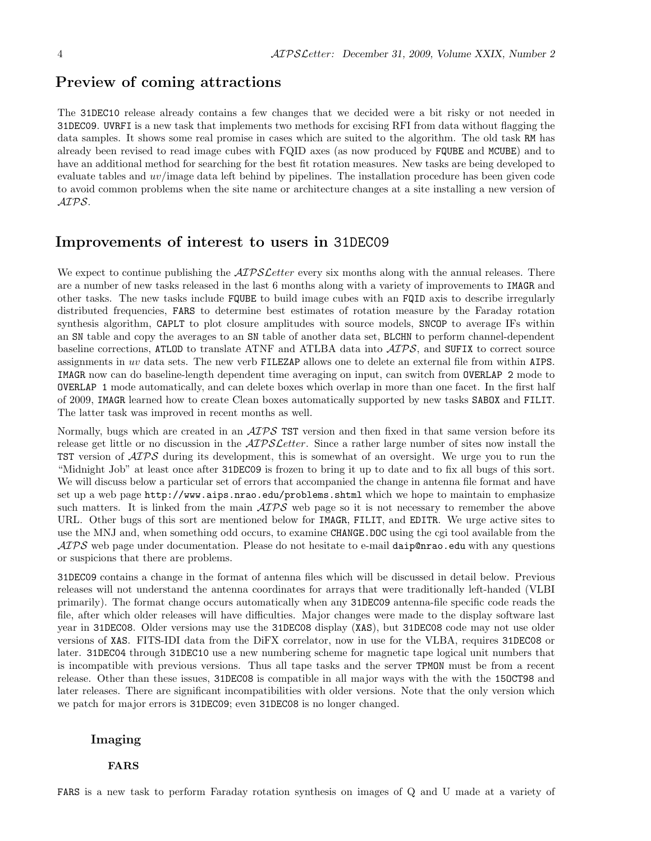### Preview of coming attractions

The 31DEC10 release already contains a few changes that we decided were a bit risky or not needed in 31DEC09. UVRFI is a new task that implements two methods for excising RFI from data without flagging the data samples. It shows some real promise in cases which are suited to the algorithm. The old task RM has already been revised to read image cubes with FQID axes (as now produced by FQUBE and MCUBE) and to have an additional method for searching for the best fit rotation measures. New tasks are being developed to evaluate tables and uv/image data left behind by pipelines. The installation procedure has been given code to avoid common problems when the site name or architecture changes at a site installing a new version of AIPS.

### Improvements of interest to users in 31DEC09

We expect to continue publishing the  $ATPSLetter$  every six months along with the annual releases. There are a number of new tasks released in the last 6 months along with a variety of improvements to IMAGR and other tasks. The new tasks include FQUBE to build image cubes with an FQID axis to describe irregularly distributed frequencies, FARS to determine best estimates of rotation measure by the Faraday rotation synthesis algorithm, CAPLT to plot closure amplitudes with source models, SNCOP to average IFs within an SN table and copy the averages to an SN table of another data set, BLCHN to perform channel-dependent baseline corrections, ATLOD to translate ATNF and ATLBA data into  $\mathcal{AIPS}$ , and SUFIX to correct source assignments in uv data sets. The new verb FILEZAP allows one to delete an external file from within AIPS. IMAGR now can do baseline-length dependent time averaging on input, can switch from OVERLAP 2 mode to OVERLAP 1 mode automatically, and can delete boxes which overlap in more than one facet. In the first half of 2009, IMAGR learned how to create Clean boxes automatically supported by new tasks SABOX and FILIT. The latter task was improved in recent months as well.

Normally, bugs which are created in an  $\mathcal{AIPS}$  TST version and then fixed in that same version before its release get little or no discussion in the  $\mathcal{AIPSLetter}$ . Since a rather large number of sites now install the **TST** version of  $\mathcal{A} \mathcal{I} \mathcal{P} \mathcal{S}$  during its development, this is somewhat of an oversight. We urge you to run the "Midnight Job" at least once after 31DEC09 is frozen to bring it up to date and to fix all bugs of this sort. We will discuss below a particular set of errors that accompanied the change in antenna file format and have set up a web page http://www.aips.nrao.edu/problems.shtml which we hope to maintain to emphasize such matters. It is linked from the main  $\mathcal{AIPS}$  web page so it is not necessary to remember the above URL. Other bugs of this sort are mentioned below for IMAGR, FILIT, and EDITR. We urge active sites to use the MNJ and, when something odd occurs, to examine CHANGE.DOC using the cgi tool available from the  $\langle \mathcal{A} \mathcal{P} \mathcal{S} \rangle$  web page under documentation. Please do not hesitate to e-mail daip@nrao.edu with any questions or suspicions that there are problems.

31DEC09 contains a change in the format of antenna files which will be discussed in detail below. Previous releases will not understand the antenna coordinates for arrays that were traditionally left-handed (VLBI primarily). The format change occurs automatically when any 31DEC09 antenna-file specific code reads the file, after which older releases will have difficulties. Major changes were made to the display software last year in 31DEC08. Older versions may use the 31DEC08 display (XAS), but 31DEC08 code may not use older versions of XAS. FITS-IDI data from the DiFX correlator, now in use for the VLBA, requires 31DEC08 or later. 31DEC04 through 31DEC10 use a new numbering scheme for magnetic tape logical unit numbers that is incompatible with previous versions. Thus all tape tasks and the server TPMON must be from a recent release. Other than these issues, 31DEC08 is compatible in all major ways with the with the 15OCT98 and later releases. There are significant incompatibilities with older versions. Note that the only version which we patch for major errors is 31DEC09; even 31DEC08 is no longer changed.

### Imaging

#### FARS

FARS is a new task to perform Faraday rotation synthesis on images of Q and U made at a variety of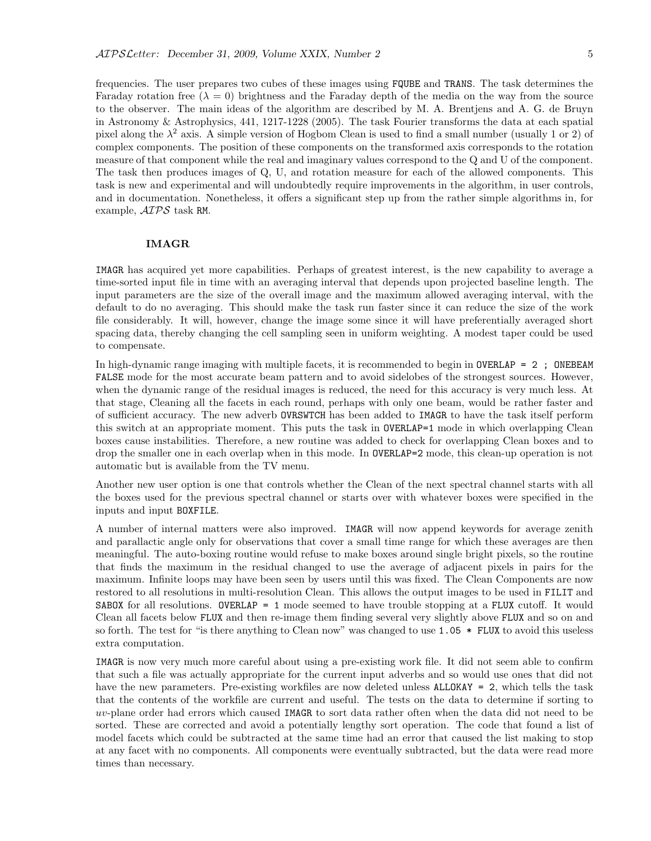frequencies. The user prepares two cubes of these images using FQUBE and TRANS. The task determines the Faraday rotation free  $(\lambda = 0)$  brightness and the Faraday depth of the media on the way from the source to the observer. The main ideas of the algorithm are described by M. A. Brentjens and A. G. de Bruyn in Astronomy & Astrophysics, 441, 1217-1228 (2005). The task Fourier transforms the data at each spatial pixel along the  $\lambda^2$  axis. A simple version of Hogbom Clean is used to find a small number (usually 1 or 2) of complex components. The position of these components on the transformed axis corresponds to the rotation measure of that component while the real and imaginary values correspond to the Q and U of the component. The task then produces images of Q, U, and rotation measure for each of the allowed components. This task is new and experimental and will undoubtedly require improvements in the algorithm, in user controls, and in documentation. Nonetheless, it offers a significant step up from the rather simple algorithms in, for example, AIPS task RM.

#### IMAGR

IMAGR has acquired yet more capabilities. Perhaps of greatest interest, is the new capability to average a time-sorted input file in time with an averaging interval that depends upon projected baseline length. The input parameters are the size of the overall image and the maximum allowed averaging interval, with the default to do no averaging. This should make the task run faster since it can reduce the size of the work file considerably. It will, however, change the image some since it will have preferentially averaged short spacing data, thereby changing the cell sampling seen in uniform weighting. A modest taper could be used to compensate.

In high-dynamic range imaging with multiple facets, it is recommended to begin in  $\text{OVERLAP} = 2$ ; ONEBEAM FALSE mode for the most accurate beam pattern and to avoid sidelobes of the strongest sources. However, when the dynamic range of the residual images is reduced, the need for this accuracy is very much less. At that stage, Cleaning all the facets in each round, perhaps with only one beam, would be rather faster and of sufficient accuracy. The new adverb OVRSWTCH has been added to IMAGR to have the task itself perform this switch at an appropriate moment. This puts the task in OVERLAP=1 mode in which overlapping Clean boxes cause instabilities. Therefore, a new routine was added to check for overlapping Clean boxes and to drop the smaller one in each overlap when in this mode. In OVERLAP=2 mode, this clean-up operation is not automatic but is available from the TV menu.

Another new user option is one that controls whether the Clean of the next spectral channel starts with all the boxes used for the previous spectral channel or starts over with whatever boxes were specified in the inputs and input BOXFILE.

A number of internal matters were also improved. IMAGR will now append keywords for average zenith and parallactic angle only for observations that cover a small time range for which these averages are then meaningful. The auto-boxing routine would refuse to make boxes around single bright pixels, so the routine that finds the maximum in the residual changed to use the average of adjacent pixels in pairs for the maximum. Infinite loops may have been seen by users until this was fixed. The Clean Components are now restored to all resolutions in multi-resolution Clean. This allows the output images to be used in FILIT and SABOX for all resolutions. OVERLAP = 1 mode seemed to have trouble stopping at a FLUX cutoff. It would Clean all facets below FLUX and then re-image them finding several very slightly above FLUX and so on and so forth. The test for "is there anything to Clean now" was changed to use 1.05  $*$  FLUX to avoid this useless extra computation.

IMAGR is now very much more careful about using a pre-existing work file. It did not seem able to confirm that such a file was actually appropriate for the current input adverbs and so would use ones that did not have the new parameters. Pre-existing workfiles are now deleted unless **ALLOKAY** = 2, which tells the task that the contents of the workfile are current and useful. The tests on the data to determine if sorting to uv-plane order had errors which caused IMAGR to sort data rather often when the data did not need to be sorted. These are corrected and avoid a potentially lengthy sort operation. The code that found a list of model facets which could be subtracted at the same time had an error that caused the list making to stop at any facet with no components. All components were eventually subtracted, but the data were read more times than necessary.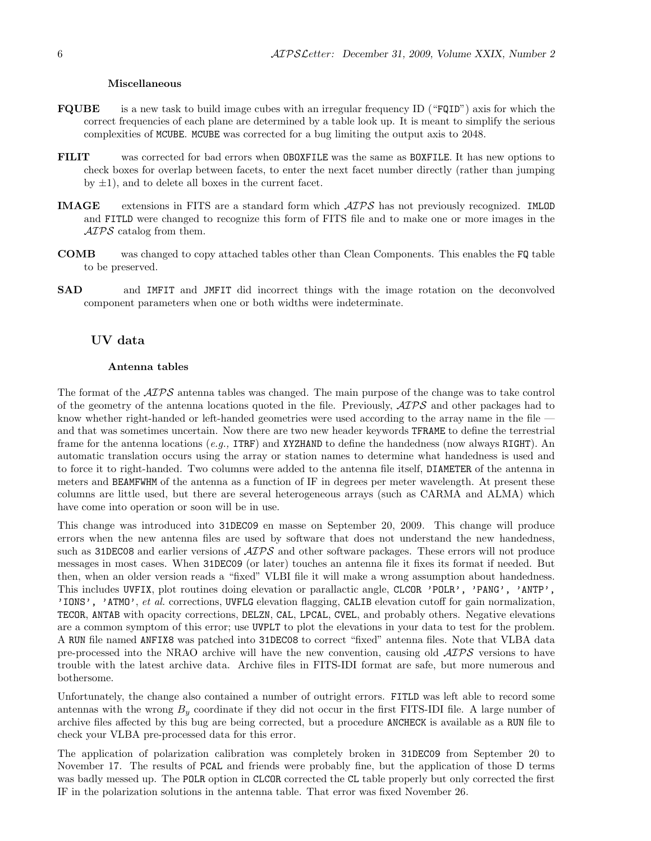#### Miscellaneous

- FQUBE is a new task to build image cubes with an irregular frequency ID ("FQID") axis for which the correct frequencies of each plane are determined by a table look up. It is meant to simplify the serious complexities of MCUBE. MCUBE was corrected for a bug limiting the output axis to 2048.
- FILIT was corrected for bad errors when OBOXFILE was the same as BOXFILE. It has new options to check boxes for overlap between facets, to enter the next facet number directly (rather than jumping by  $\pm 1$ ), and to delete all boxes in the current facet.
- IMAGE extensions in FITS are a standard form which AIPS has not previously recognized. IMLOD and FITLD were changed to recognize this form of FITS file and to make one or more images in the  $\mathcal{A} \mathcal{I} \mathcal{P} \mathcal{S}$  catalog from them.
- COMB was changed to copy attached tables other than Clean Components. This enables the FQ table to be preserved.
- SAD and IMFIT and JMFIT did incorrect things with the image rotation on the deconvolved component parameters when one or both widths were indeterminate.

#### UV data

#### Antenna tables

The format of the  $\mathcal{A} \mathcal{D} \mathcal{S}$  antenna tables was changed. The main purpose of the change was to take control of the geometry of the antenna locations quoted in the file. Previously,  $\mathcal{AIPS}$  and other packages had to know whether right-handed or left-handed geometries were used according to the array name in the file and that was sometimes uncertain. Now there are two new header keywords TFRAME to define the terrestrial frame for the antenna locations (e.g., ITRF) and XYZHAND to define the handedness (now always RIGHT). An automatic translation occurs using the array or station names to determine what handedness is used and to force it to right-handed. Two columns were added to the antenna file itself, DIAMETER of the antenna in meters and BEAMFWHM of the antenna as a function of IF in degrees per meter wavelength. At present these columns are little used, but there are several heterogeneous arrays (such as CARMA and ALMA) which have come into operation or soon will be in use.

This change was introduced into 31DEC09 en masse on September 20, 2009. This change will produce errors when the new antenna files are used by software that does not understand the new handedness, such as 31DEC08 and earlier versions of  $\mathcal{AIPS}$  and other software packages. These errors will not produce messages in most cases. When 31DEC09 (or later) touches an antenna file it fixes its format if needed. But then, when an older version reads a "fixed" VLBI file it will make a wrong assumption about handedness. This includes UVFIX, plot routines doing elevation or parallactic angle, CLCOR 'POLR', 'PANG', 'ANTP', 'IONS', 'ATMO', et al. corrections, UVFLG elevation flagging, CALIB elevation cutoff for gain normalization, TECOR, ANTAB with opacity corrections, DELZN, CAL, LPCAL, CVEL, and probably others. Negative elevations are a common symptom of this error; use UVPLT to plot the elevations in your data to test for the problem. A RUN file named ANFIX8 was patched into 31DEC08 to correct "fixed" antenna files. Note that VLBA data pre-processed into the NRAO archive will have the new convention, causing old  $\mathcal{AIPS}$  versions to have trouble with the latest archive data. Archive files in FITS-IDI format are safe, but more numerous and bothersome.

Unfortunately, the change also contained a number of outright errors. FITLD was left able to record some antennas with the wrong  $B_y$  coordinate if they did not occur in the first FITS-IDI file. A large number of archive files affected by this bug are being corrected, but a procedure ANCHECK is available as a RUN file to check your VLBA pre-processed data for this error.

The application of polarization calibration was completely broken in 31DEC09 from September 20 to November 17. The results of PCAL and friends were probably fine, but the application of those D terms was badly messed up. The POLR option in CLCOR corrected the CL table properly but only corrected the first IF in the polarization solutions in the antenna table. That error was fixed November 26.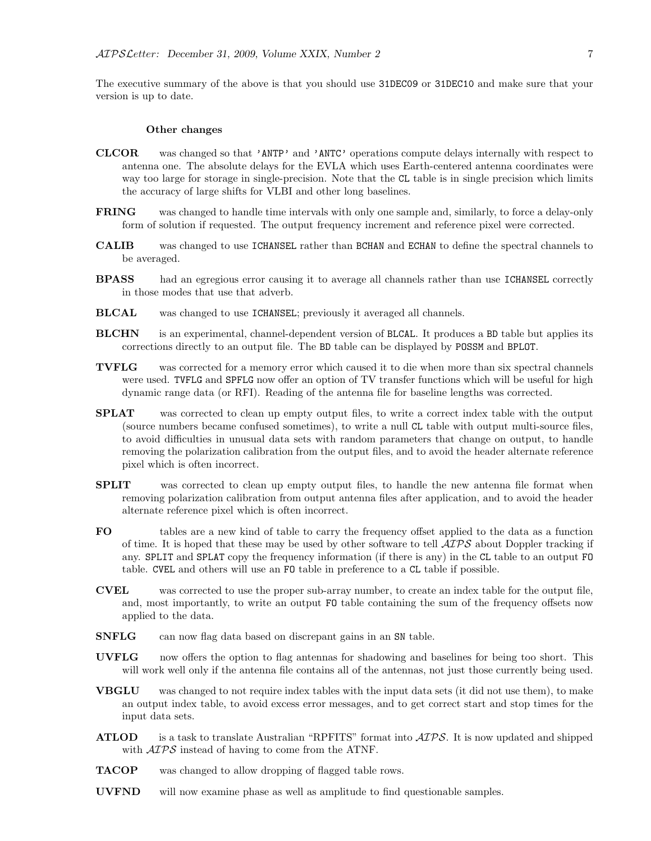The executive summary of the above is that you should use 31DEC09 or 31DEC10 and make sure that your version is up to date.

#### Other changes

- CLCOR was changed so that 'ANTP' and 'ANTC' operations compute delays internally with respect to antenna one. The absolute delays for the EVLA which uses Earth-centered antenna coordinates were way too large for storage in single-precision. Note that the CL table is in single precision which limits the accuracy of large shifts for VLBI and other long baselines.
- FRING was changed to handle time intervals with only one sample and, similarly, to force a delay-only form of solution if requested. The output frequency increment and reference pixel were corrected.
- CALIB was changed to use ICHANSEL rather than BCHAN and ECHAN to define the spectral channels to be averaged.
- BPASS had an egregious error causing it to average all channels rather than use ICHANSEL correctly in those modes that use that adverb.
- BLCAL was changed to use ICHANSEL; previously it averaged all channels.
- **BLCHN** is an experimental, channel-dependent version of BLCAL. It produces a BD table but applies its corrections directly to an output file. The BD table can be displayed by POSSM and BPLOT.
- TVFLG was corrected for a memory error which caused it to die when more than six spectral channels were used. TVFLG and SPFLG now offer an option of TV transfer functions which will be useful for high dynamic range data (or RFI). Reading of the antenna file for baseline lengths was corrected.
- **SPLAT** was corrected to clean up empty output files, to write a correct index table with the output (source numbers became confused sometimes), to write a null CL table with output multi-source files, to avoid difficulties in unusual data sets with random parameters that change on output, to handle removing the polarization calibration from the output files, and to avoid the header alternate reference pixel which is often incorrect.
- SPLIT was corrected to clean up empty output files, to handle the new antenna file format when removing polarization calibration from output antenna files after application, and to avoid the header alternate reference pixel which is often incorrect.
- FO tables are a new kind of table to carry the frequency offset applied to the data as a function of time. It is hoped that these may be used by other software to tell  $\mathcal{AIPS}$  about Doppler tracking if any. SPLIT and SPLAT copy the frequency information (if there is any) in the CL table to an output FO table. CVEL and others will use an FO table in preference to a CL table if possible.
- CVEL was corrected to use the proper sub-array number, to create an index table for the output file, and, most importantly, to write an output FO table containing the sum of the frequency offsets now applied to the data.
- SNFLG can now flag data based on discrepant gains in an SN table.
- UVFLG now offers the option to flag antennas for shadowing and baselines for being too short. This will work well only if the antenna file contains all of the antennas, not just those currently being used.
- VBGLU was changed to not require index tables with the input data sets (it did not use them), to make an output index table, to avoid excess error messages, and to get correct start and stop times for the input data sets.
- **ATLOD** is a task to translate Australian "RPFITS" format into  $\mathcal{AIPS}$ . It is now updated and shipped with  $\mathcal{A} \mathcal{I} \mathcal{P} \mathcal{S}$  instead of having to come from the ATNF.
- TACOP was changed to allow dropping of flagged table rows.
- UVFND will now examine phase as well as amplitude to find questionable samples.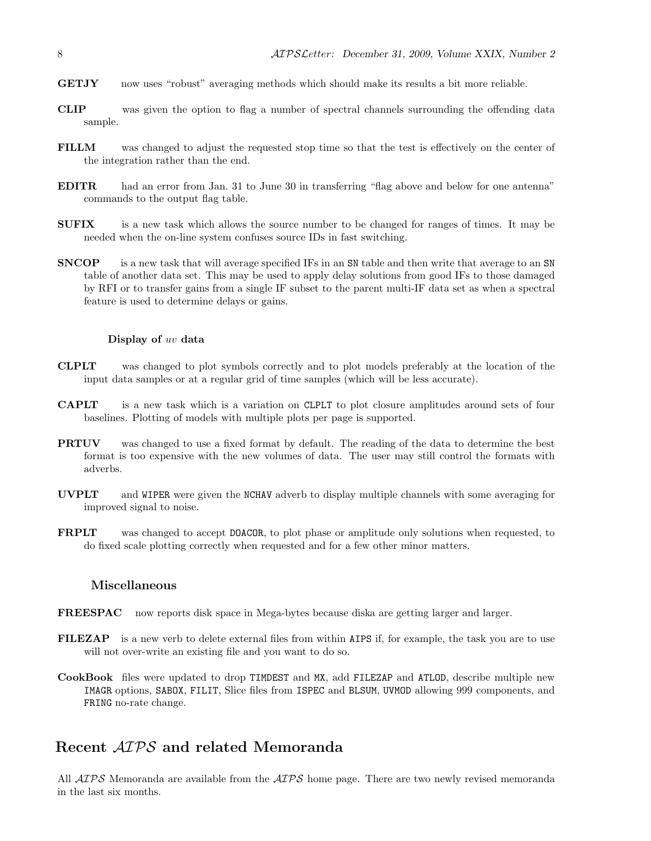- GETJY now uses "robust" averaging methods which should make its results a bit more reliable.
- CLIP was given the option to flag a number of spectral channels surrounding the offending data sample.
- FILLM was changed to adjust the requested stop time so that the test is effectively on the center of the integration rather than the end.
- EDITR had an error from Jan. 31 to June 30 in transferring "flag above and below for one antenna" commands to the output flag table.
- **SUFIX** is a new task which allows the source number to be changed for ranges of times. It may be needed when the on-line system confuses source IDs in fast switching.
- SNCOP is a new task that will average specified IFs in an SN table and then write that average to an SN table of another data set. This may be used to apply delay solutions from good IFs to those damaged by RFI or to transfer gains from a single IF subset to the parent multi-IF data set as when a spectral feature is used to determine delays or gains.

#### Display of uv data

- CLPLT was changed to plot symbols correctly and to plot models preferably at the location of the input data samples or at a regular grid of time samples (which will be less accurate).
- CAPLT is a new task which is a variation on CLPLT to plot closure amplitudes around sets of four baselines. Plotting of models with multiple plots per page is supported.
- PRTUV was changed to use a fixed format by default. The reading of the data to determine the best format is too expensive with the new volumes of data. The user may still control the formats with adverbs.
- UVPLT and WIPER were given the NCHAV adverb to display multiple channels with some averaging for improved signal to noise.
- FRPLT was changed to accept DOACOR, to plot phase or amplitude only solutions when requested, to do fixed scale plotting correctly when requested and for a few other minor matters.

#### Miscellaneous

- FREESPAC now reports disk space in Mega-bytes because diska are getting larger and larger.
- FILEZAP is a new verb to delete external files from within AIPS if, for example, the task you are to use will not over-write an existing file and you want to do so.
- CookBook files were updated to drop TIMDEST and MX, add FILEZAP and ATLOD, describe multiple new IMAGR options, SABOX, FILIT, Slice files from ISPEC and BLSUM, UVMOD allowing 999 components, and FRING no-rate change.

### Recent AIPS and related Memoranda

All  $ATPS$  Memoranda are available from the  $ATPS$  home page. There are two newly revised memoranda in the last six months.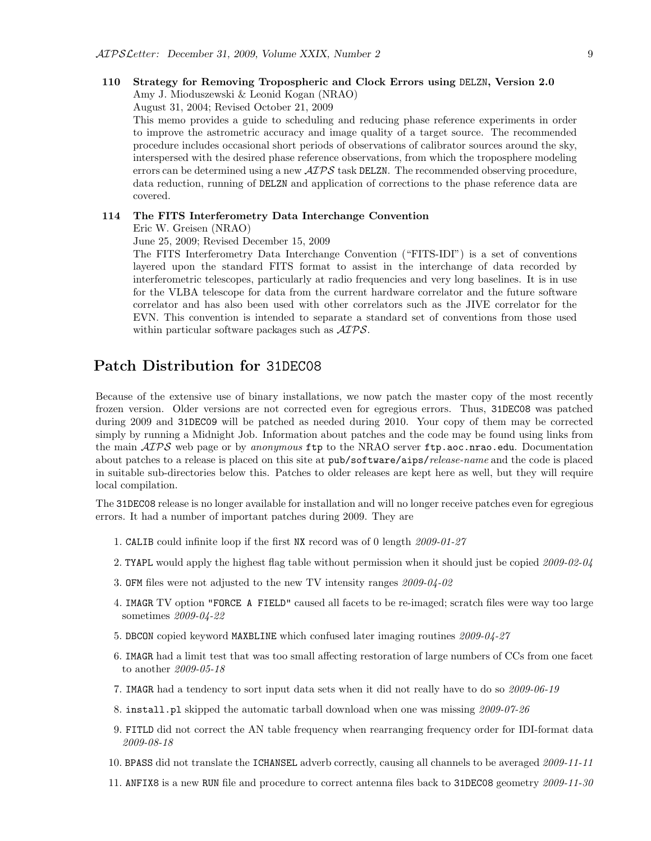### 110 Strategy for Removing Tropospheric and Clock Errors using DELZN, Version 2.0

Amy J. Mioduszewski & Leonid Kogan (NRAO)

August 31, 2004; Revised October 21, 2009

This memo provides a guide to scheduling and reducing phase reference experiments in order to improve the astrometric accuracy and image quality of a target source. The recommended procedure includes occasional short periods of observations of calibrator sources around the sky, interspersed with the desired phase reference observations, from which the troposphere modeling errors can be determined using a new  $\mathcal{AIPS}$  task DELZN. The recommended observing procedure, data reduction, running of DELZN and application of corrections to the phase reference data are covered.

#### 114 The FITS Interferometry Data Interchange Convention

Eric W. Greisen (NRAO)

June 25, 2009; Revised December 15, 2009

The FITS Interferometry Data Interchange Convention ("FITS-IDI") is a set of conventions layered upon the standard FITS format to assist in the interchange of data recorded by interferometric telescopes, particularly at radio frequencies and very long baselines. It is in use for the VLBA telescope for data from the current hardware correlator and the future software correlator and has also been used with other correlators such as the JIVE correlator for the EVN. This convention is intended to separate a standard set of conventions from those used within particular software packages such as  $\mathcal{AIPS}$ .

### Patch Distribution for 31DEC08

Because of the extensive use of binary installations, we now patch the master copy of the most recently frozen version. Older versions are not corrected even for egregious errors. Thus, 31DEC08 was patched during 2009 and 31DEC09 will be patched as needed during 2010. Your copy of them may be corrected simply by running a Midnight Job. Information about patches and the code may be found using links from the main  $AIPS$  web page or by anonymous ftp to the NRAO server ftp.aoc.nrao.edu. Documentation about patches to a release is placed on this site at pub/software/aips/release-name and the code is placed in suitable sub-directories below this. Patches to older releases are kept here as well, but they will require local compilation.

The 31DEC08 release is no longer available for installation and will no longer receive patches even for egregious errors. It had a number of important patches during 2009. They are

- 1. CALIB could infinite loop if the first NX record was of 0 length 2009-01-27
- 2. TYAPL would apply the highest flag table without permission when it should just be copied 2009-02-04
- 3. OFM files were not adjusted to the new TV intensity ranges 2009-04-02
- 4. IMAGR TV option "FORCE A FIELD" caused all facets to be re-imaged; scratch files were way too large sometimes 2009-04-22
- 5. DBCON copied keyword MAXBLINE which confused later imaging routines 2009-04-27
- 6. IMAGR had a limit test that was too small affecting restoration of large numbers of CCs from one facet to another 2009-05-18
- 7. IMAGR had a tendency to sort input data sets when it did not really have to do so 2009-06-19
- 8. install.pl skipped the automatic tarball download when one was missing 2009-07-26
- 9. FITLD did not correct the AN table frequency when rearranging frequency order for IDI-format data 2009-08-18
- 10. BPASS did not translate the ICHANSEL adverb correctly, causing all channels to be averaged 2009-11-11
- 11. ANFIX8 is a new RUN file and procedure to correct antenna files back to 31DEC08 geometry 2009-11-30